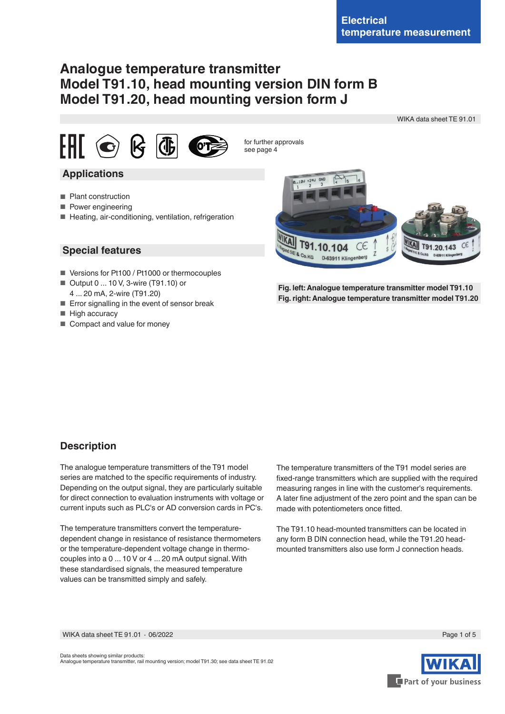# **Analogue temperature transmitter Model T91.10, head mounting version DIN form B Model T91.20, head mounting version form J**

WIKA data sheet TE 91.01





for further approvals see page 4

## **Applications**

- Plant construction
- Power engineering
- Heating, air-conditioning, ventilation, refrigeration

### **Special features**

- Versions for Pt100 / Pt1000 or thermocouples
- Output 0 ... 10 V, 3-wire (T91.10) or 4 ... 20 mA, 2-wire (T91.20)
- Error signalling in the event of sensor break
- High accuracy
- Compact and value for money



**Fig. left: Analogue temperature transmitter model T91.10 Fig. right: Analogue temperature transmitter model T91.20**

## **Description**

The analogue temperature transmitters of the T91 model series are matched to the specific requirements of industry. Depending on the output signal, they are particularly suitable for direct connection to evaluation instruments with voltage or current inputs such as PLC's or AD conversion cards in PC's.

The temperature transmitters convert the temperaturedependent change in resistance of resistance thermometers or the temperature-dependent voltage change in thermocouples into a 0 ... 10 V or 4 ... 20 mA output signal. With these standardised signals, the measured temperature values can be transmitted simply and safely.

The temperature transmitters of the T91 model series are fixed-range transmitters which are supplied with the required measuring ranges in line with the customer's requirements. A later fine adjustment of the zero point and the span can be made with potentiometers once fitted.

The T91.10 head-mounted transmitters can be located in any form B DIN connection head, while the T91.20 headmounted transmitters also use form J connection heads.

WIKA data sheet TE 91.01 ⋅ 06/2022 Page 1 of 5

Data sheets showing similar products: Analogue temperature transmitter, rail mounting version; model T91.30; see data sheet TE 91.02

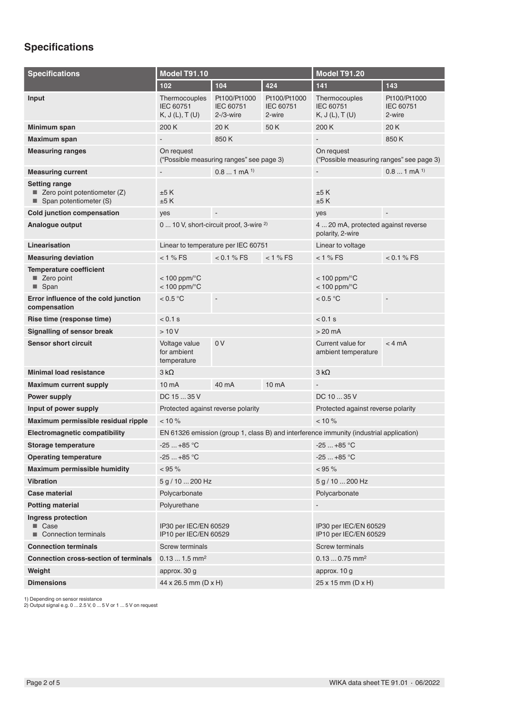# **Specifications**

| <b>Specifications</b>                                                            | <b>Model T91.10</b>                                                                     |                                            |                                                         | <b>Model T91.20</b>                           |                                     |
|----------------------------------------------------------------------------------|-----------------------------------------------------------------------------------------|--------------------------------------------|---------------------------------------------------------|-----------------------------------------------|-------------------------------------|
|                                                                                  | 102                                                                                     | 104                                        | 424                                                     | 141                                           | 143                                 |
| Input                                                                            | Thermocouples<br>IEC 60751<br>K, J(L), T(U)                                             | Pt100/Pt1000<br>IEC 60751<br>$2 - 3$ -wire | Pt100/Pt1000<br>IEC 60751<br>2-wire                     | Thermocouples<br>IEC 60751<br>K, J(L), T(U)   | Pt100/Pt1000<br>IEC 60751<br>2-wire |
| Minimum span                                                                     | 200 K                                                                                   | 20 K                                       | 50 K                                                    | 200 K                                         | 20K                                 |
| Maximum span                                                                     |                                                                                         | 850K                                       |                                                         |                                               | 850K                                |
| <b>Measuring ranges</b>                                                          | On request<br>("Possible measuring ranges" see page 3)                                  |                                            | On request<br>("Possible measuring ranges" see page 3)  |                                               |                                     |
| <b>Measuring current</b>                                                         |                                                                                         | $0.81$ mA $^{1}$                           |                                                         | $\overline{\phantom{a}}$                      | $0.81$ mA $^{1}$                    |
| <b>Setting range</b><br>■ Zero point potentiometer (Z)<br>Span potentiometer (S) | ±5K<br>±5K                                                                              |                                            | ±5K<br>±5K                                              |                                               |                                     |
| <b>Cold junction compensation</b>                                                | yes                                                                                     |                                            |                                                         | yes                                           | $\overline{\phantom{a}}$            |
| Analogue output                                                                  | 0  10 V, short-circuit proof, 3-wire <sup>2)</sup>                                      |                                            | 4  20 mA, protected against reverse<br>polarity, 2-wire |                                               |                                     |
| Linearisation                                                                    | Linear to temperature per IEC 60751                                                     |                                            |                                                         | Linear to voltage                             |                                     |
| <b>Measuring deviation</b>                                                       | $< 1 %$ FS                                                                              | $< 0.1 \%$ FS                              | $< 1 %$ FS                                              | $< 1 %$ FS                                    | $< 0.1 %$ FS                        |
| <b>Temperature coefficient</b><br>Zero point<br>$\blacksquare$ Span              | $< 100$ ppm/ $\degree$ C<br>$< 100$ ppm/ $°C$                                           |                                            |                                                         | $< 100$ ppm/ $\degree$ C<br>$< 100$ ppm/ $°C$ |                                     |
| Error influence of the cold junction<br>compensation                             | < 0.5 °C                                                                                | $\overline{\phantom{a}}$                   |                                                         | < 0.5 °C                                      | $\overline{\phantom{a}}$            |
| Rise time (response time)                                                        | < 0.1 s<br>$< 0.1$ s                                                                    |                                            |                                                         |                                               |                                     |
| Signalling of sensor break                                                       | >10V                                                                                    |                                            |                                                         | $>20$ mA                                      |                                     |
| <b>Sensor short circuit</b>                                                      | Voltage value<br>for ambient<br>temperature                                             | 0 <sup>V</sup>                             |                                                         | Current value for<br>ambient temperature      | $<$ 4 mA                            |
| <b>Minimal load resistance</b>                                                   | $3 k\Omega$                                                                             |                                            |                                                         | $3 k\Omega$                                   |                                     |
| <b>Maximum current supply</b>                                                    | 10 <sub>m</sub> A                                                                       | 40 mA                                      | 10 <sub>m</sub> A                                       |                                               |                                     |
| <b>Power supply</b>                                                              | DC 15  35 V                                                                             |                                            |                                                         | DC 10  35 V                                   |                                     |
| Input of power supply                                                            | Protected against reverse polarity                                                      |                                            |                                                         | Protected against reverse polarity            |                                     |
| Maximum permissible residual ripple                                              | $< 10 \%$                                                                               |                                            |                                                         | $< 10 \%$                                     |                                     |
| <b>Electromagnetic compatibility</b>                                             | EN 61326 emission (group 1, class B) and interference immunity (industrial application) |                                            |                                                         |                                               |                                     |
| Storage temperature                                                              | $-25+85$ °C                                                                             |                                            |                                                         | $-25+85$ °C                                   |                                     |
| <b>Operating temperature</b>                                                     | $-25+85$ °C                                                                             |                                            |                                                         | $-25+85$ °C                                   |                                     |
| <b>Maximum permissible humidity</b>                                              | $< 95 \%$                                                                               |                                            |                                                         | $< 95 \%$                                     |                                     |
| <b>Vibration</b>                                                                 | 5 g / 10  200 Hz                                                                        |                                            |                                                         | 5 g / 10  200 Hz                              |                                     |
| Case material                                                                    | Polycarbonate                                                                           |                                            |                                                         | Polycarbonate                                 |                                     |
| <b>Potting material</b>                                                          | Polyurethane                                                                            |                                            |                                                         |                                               |                                     |
| Ingress protection<br>■ Case<br>Connection terminals                             | IP30 per IEC/EN 60529<br>IP10 per IEC/EN 60529                                          |                                            | IP30 per IEC/EN 60529<br>IP10 per IEC/EN 60529          |                                               |                                     |
| <b>Connection terminals</b>                                                      | <b>Screw terminals</b>                                                                  |                                            |                                                         | <b>Screw terminals</b>                        |                                     |
| <b>Connection cross-section of terminals</b>                                     | $0.131.5$ mm <sup>2</sup>                                                               |                                            | $0.130.75$ mm <sup>2</sup>                              |                                               |                                     |
| Weight                                                                           | approx. 30 g                                                                            |                                            | approx. 10 g                                            |                                               |                                     |
| <b>Dimensions</b>                                                                | 44 x 26.5 mm (D x H)                                                                    |                                            |                                                         | 25 x 15 mm (D x H)                            |                                     |

1) Depending on sensor resistance 2) Output signal e.g. 0 ... 2.5 V, 0 ... 5 V or 1 ... 5 V on request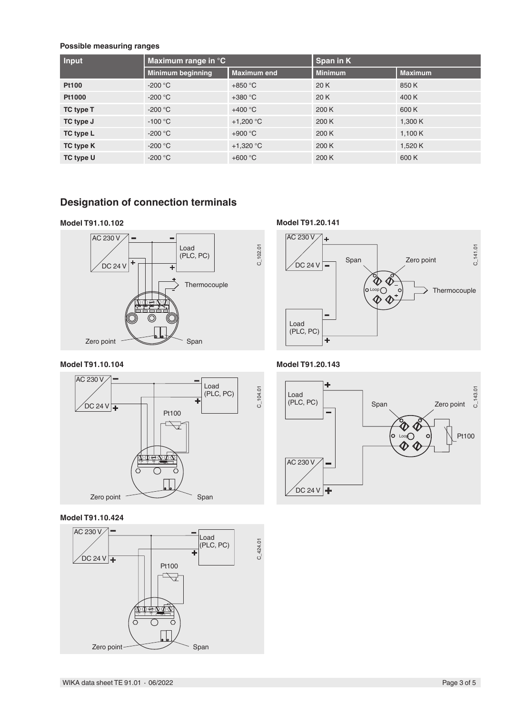#### **Possible measuring ranges**

| Input        | Maximum range in $^{\circ}$ C |                     | Span in K      |                |  |
|--------------|-------------------------------|---------------------|----------------|----------------|--|
|              | Minimum beginning             | <b>Maximum end</b>  | <b>Minimum</b> | <b>Maximum</b> |  |
| <b>Pt100</b> | $-200 °C$                     | $+850 °C$           | 20 K           | 850K           |  |
| Pt1000       | $-200 °C$                     | $+380 °C$           | 20 K           | 400 K          |  |
| TC type T    | $-200 °C$                     | $+400 °C$           | 200 K          | 600 K          |  |
| TC type J    | $-100\,^{\circ}\mathrm{C}$    | +1,200 $^{\circ}$ C | 200 K          | 1,300 K        |  |
| TC type L    | $-200 °C$                     | $+900 °C$           | 200 K          | 1,100 $K$      |  |
| TC type K    | $-200 °C$                     | +1,320 $^{\circ}$ C | 200K           | 1,520 K        |  |
| TC type U    | $-200 °C$                     | $+600 °C$           | 200 K          | 600 K          |  |

C\_102.01

## **Designation of connection terminals**

#### **Model T91.10.102**



#### **Model T91.10.104**



#### **Model T91.10.424**



**Model T91.20.141**



**Model T91.20.143**

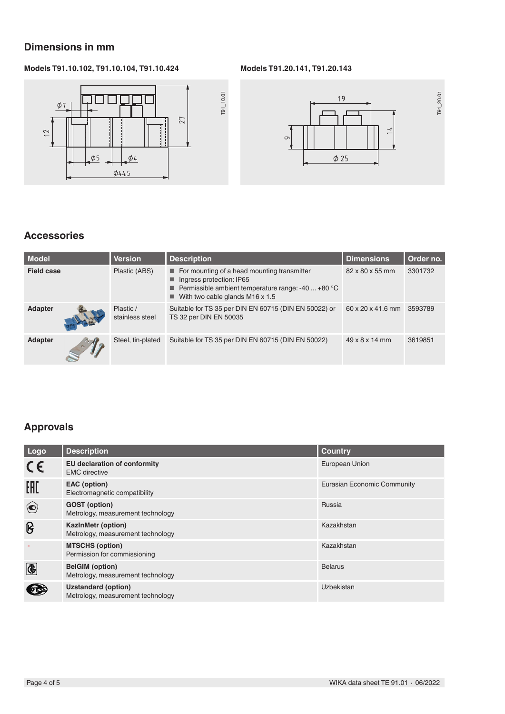## **Dimensions in mm**

### **Models T91.10.102, T91.10.104, T91.10.424**







## **Accessories**

| Model             | <b>Version</b>               | <b>Description</b>                                                                                                                                                              | <b>Dimensions</b>          | Order no. |
|-------------------|------------------------------|---------------------------------------------------------------------------------------------------------------------------------------------------------------------------------|----------------------------|-----------|
| <b>Field case</b> | Plastic (ABS)                | $\blacksquare$ For mounting of a head mounting transmitter<br>Ingress protection: IP65<br>Permissible ambient temperature range: -40  +80 °C<br>With two cable glands M16 x 1.5 | 82 x 80 x 55 mm            | 3301732   |
| <b>Adapter</b>    | Plastic /<br>stainless steel | Suitable for TS 35 per DIN EN 60715 (DIN EN 50022) or<br>TS 32 per DIN EN 50035                                                                                                 | 60 x 20 x 41.6 mm          | 3593789   |
| Adapter           | Steel, tin-plated            | Suitable for TS 35 per DIN EN 60715 (DIN EN 50022)                                                                                                                              | $49 \times 8 \times 14$ mm | 3619851   |

## **Approvals**

| Logo                                  | <b>Description</b>                                              | <b>Country</b>              |
|---------------------------------------|-----------------------------------------------------------------|-----------------------------|
| $\epsilon$                            | <b>EU declaration of conformity</b><br><b>EMC</b> directive     | European Union              |
| EAC                                   | EAC (option)<br>Electromagnetic compatibility                   | Eurasian Economic Community |
| $\left( \bullet \right)$              | <b>GOST</b> (option)<br>Metrology, measurement technology       | Russia                      |
| ၆                                     | <b>KazinMetr (option)</b><br>Metrology, measurement technology  | Kazakhstan                  |
|                                       | <b>MTSCHS (option)</b><br>Permission for commissioning          | Kazakhstan                  |
| $\overline{\textcircled{\textbf{t}}}$ | <b>BelGIM</b> (option)<br>Metrology, measurement technology     | <b>Belarus</b>              |
|                                       | <b>Uzstandard (option)</b><br>Metrology, measurement technology | Uzbekistan                  |